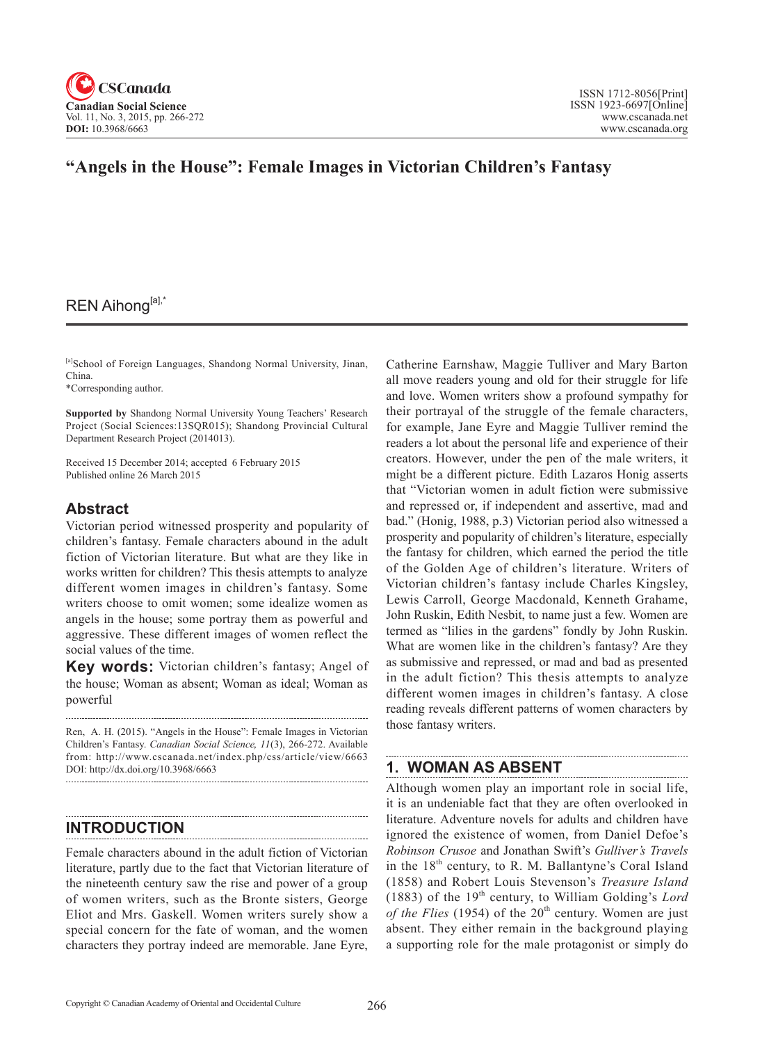

# **"Angels in the House": Female Images in Victorian Children's Fantasy**

# REN Aihong[a],\*

[a]School of Foreign Languages, Shandong Normal University, Jinan, China.

\*Corresponding author.

**Supported by** Shandong Normal University Young Teachers' Research Project (Social Sciences:13SQR015); Shandong Provincial Cultural Department Research Project (2014013).

Received 15 December 2014; accepted 6 February 2015 Published online 26 March 2015

## **Abstract**

Victorian period witnessed prosperity and popularity of children's fantasy. Female characters abound in the adult fiction of Victorian literature. But what are they like in works written for children? This thesis attempts to analyze different women images in children's fantasy. Some writers choose to omit women; some idealize women as angels in the house; some portray them as powerful and aggressive. These different images of women reflect the social values of the time.

**Key words:** Victorian children's fantasy; Angel of the house; Woman as absent; Woman as ideal; Woman as powerful

Ren, A. H. (2015). "Angels in the House": Female Images in Victorian Children's Fantasy. *Canadian Social Science*, <sup>11</sup>(3), 266-272. Available from: http://www.cscanada.net/index.php/css/article/view/6663 DOI: http://dx.doi.org/10.3968/6663 

### **INTRODUCTION**

Female characters abound in the adult fiction of Victorian literature, partly due to the fact that Victorian literature of the nineteenth century saw the rise and power of a group of women writers, such as the Bronte sisters, George Eliot and Mrs. Gaskell. Women writers surely show a special concern for the fate of woman, and the women characters they portray indeed are memorable. Jane Eyre, Catherine Earnshaw, Maggie Tulliver and Mary Barton all move readers young and old for their struggle for life and love. Women writers show a profound sympathy for their portrayal of the struggle of the female characters, for example, Jane Eyre and Maggie Tulliver remind the readers a lot about the personal life and experience of their creators. However, under the pen of the male writers, it might be a different picture. Edith Lazaros Honig asserts that "Victorian women in adult fiction were submissive and repressed or, if independent and assertive, mad and bad." (Honig, 1988, p.3) Victorian period also witnessed a prosperity and popularity of children's literature, especially the fantasy for children, which earned the period the title of the Golden Age of children's literature. Writers of Victorian children's fantasy include Charles Kingsley, Lewis Carroll, George Macdonald, Kenneth Grahame, John Ruskin, Edith Nesbit, to name just a few. Women are termed as "lilies in the gardens" fondly by John Ruskin. What are women like in the children's fantasy? Are they as submissive and repressed, or mad and bad as presented in the adult fiction? This thesis attempts to analyze different women images in children's fantasy. A close reading reveals different patterns of women characters by those fantasy writers.

### **1. WOMAN AS ABSENT**

Although women play an important role in social life, it is an undeniable fact that they are often overlooked in literature. Adventure novels for adults and children have ignored the existence of women, from Daniel Defoe's *Robinson Crusoe* and Jonathan Swift's *Gulliver's Travels*  in the  $18<sup>th</sup>$  century, to R. M. Ballantyne's Coral Island (1858) and Robert Louis Stevenson's *Treasure Island*  (1883) of the  $19<sup>th</sup>$  century, to William Golding's *Lord of the Flies* (1954) of the  $20<sup>th</sup>$  century. Women are just absent. They either remain in the background playing a supporting role for the male protagonist or simply do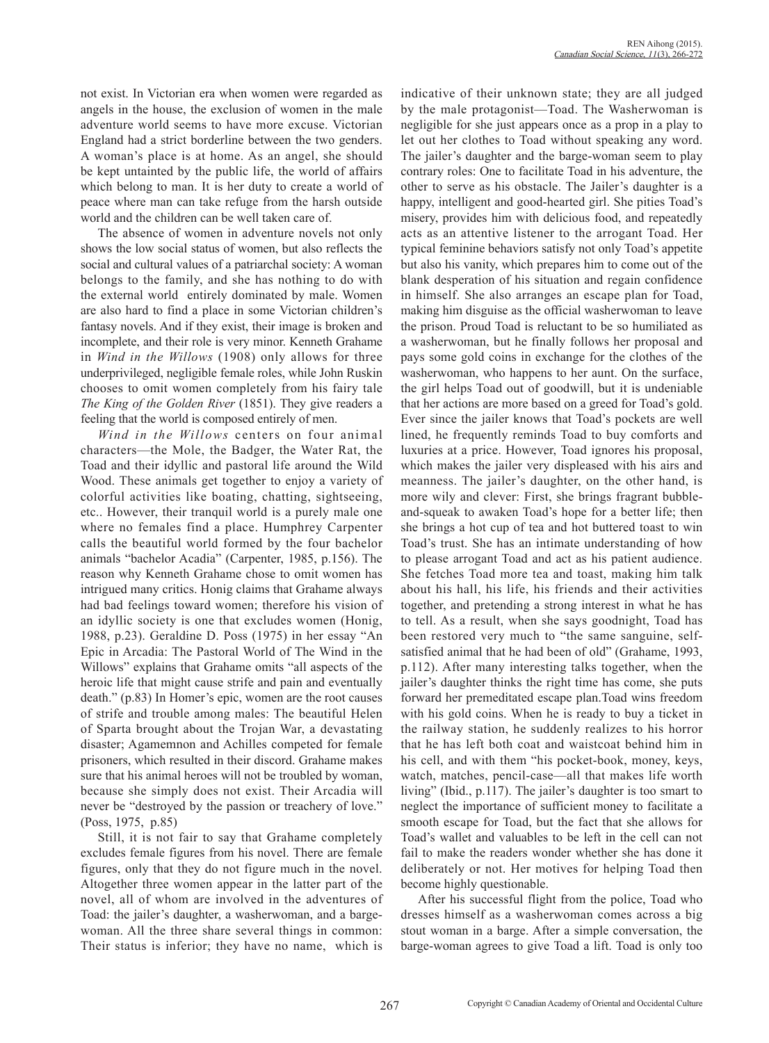not exist. In Victorian era when women were regarded as angels in the house, the exclusion of women in the male adventure world seems to have more excuse. Victorian England had a strict borderline between the two genders. A woman's place is at home. As an angel, she should be kept untainted by the public life, the world of affairs which belong to man. It is her duty to create a world of peace where man can take refuge from the harsh outside world and the children can be well taken care of.

The absence of women in adventure novels not only shows the low social status of women, but also reflects the social and cultural values of a patriarchal society: A woman belongs to the family, and she has nothing to do with the external world entirely dominated by male. Women are also hard to find a place in some Victorian children's fantasy novels. And if they exist, their image is broken and incomplete, and their role is very minor. Kenneth Grahame in *Wind in the Willows* (1908) only allows for three underprivileged, negligible female roles, while John Ruskin chooses to omit women completely from his fairy tale *The King of the Golden River* (1851). They give readers a feeling that the world is composed entirely of men.

*Wind in the Willows* centers on four animal characters—the Mole, the Badger, the Water Rat, the Toad and their idyllic and pastoral life around the Wild Wood. These animals get together to enjoy a variety of colorful activities like boating, chatting, sightseeing, etc.. However, their tranquil world is a purely male one where no females find a place. Humphrey Carpenter calls the beautiful world formed by the four bachelor animals "bachelor Acadia" (Carpenter, 1985, p.156). The reason why Kenneth Grahame chose to omit women has intrigued many critics. Honig claims that Grahame always had bad feelings toward women; therefore his vision of an idyllic society is one that excludes women (Honig, 1988, p.23). Geraldine D. Poss (1975) in her essay "An Epic in Arcadia: The Pastoral World of The Wind in the Willows" explains that Grahame omits "all aspects of the heroic life that might cause strife and pain and eventually death." (p.83) In Homer's epic, women are the root causes of strife and trouble among males: The beautiful Helen of Sparta brought about the Trojan War, a devastating disaster; Agamemnon and Achilles competed for female prisoners, which resulted in their discord. Grahame makes sure that his animal heroes will not be troubled by woman, because she simply does not exist. Their Arcadia will never be "destroyed by the passion or treachery of love." (Poss, 1975, p.85)

Still, it is not fair to say that Grahame completely excludes female figures from his novel. There are female figures, only that they do not figure much in the novel. Altogether three women appear in the latter part of the novel, all of whom are involved in the adventures of Toad: the jailer's daughter, a washerwoman, and a bargewoman. All the three share several things in common: Their status is inferior; they have no name, which is

indicative of their unknown state; they are all judged by the male protagonist—Toad. The Washerwoman is negligible for she just appears once as a prop in a play to let out her clothes to Toad without speaking any word. The jailer's daughter and the barge-woman seem to play contrary roles: One to facilitate Toad in his adventure, the other to serve as his obstacle. The Jailer's daughter is a happy, intelligent and good-hearted girl. She pities Toad's misery, provides him with delicious food, and repeatedly acts as an attentive listener to the arrogant Toad. Her typical feminine behaviors satisfy not only Toad's appetite but also his vanity, which prepares him to come out of the blank desperation of his situation and regain confidence in himself. She also arranges an escape plan for Toad, making him disguise as the official washerwoman to leave the prison. Proud Toad is reluctant to be so humiliated as a washerwoman, but he finally follows her proposal and pays some gold coins in exchange for the clothes of the washerwoman, who happens to her aunt. On the surface, the girl helps Toad out of goodwill, but it is undeniable that her actions are more based on a greed for Toad's gold. Ever since the jailer knows that Toad's pockets are well lined, he frequently reminds Toad to buy comforts and luxuries at a price. However, Toad ignores his proposal, which makes the jailer very displeased with his airs and meanness. The jailer's daughter, on the other hand, is more wily and clever: First, she brings fragrant bubbleand-squeak to awaken Toad's hope for a better life; then she brings a hot cup of tea and hot buttered toast to win Toad's trust. She has an intimate understanding of how to please arrogant Toad and act as his patient audience. She fetches Toad more tea and toast, making him talk about his hall, his life, his friends and their activities together, and pretending a strong interest in what he has to tell. As a result, when she says goodnight, Toad has been restored very much to "the same sanguine, selfsatisfied animal that he had been of old" (Grahame, 1993, p.112). After many interesting talks together, when the jailer's daughter thinks the right time has come, she puts forward her premeditated escape plan.Toad wins freedom with his gold coins. When he is ready to buy a ticket in the railway station, he suddenly realizes to his horror that he has left both coat and waistcoat behind him in his cell, and with them "his pocket-book, money, keys, watch, matches, pencil-case—all that makes life worth living" (Ibid., p.117). The jailer's daughter is too smart to neglect the importance of sufficient money to facilitate a smooth escape for Toad, but the fact that she allows for Toad's wallet and valuables to be left in the cell can not fail to make the readers wonder whether she has done it deliberately or not. Her motives for helping Toad then become highly questionable.

After his successful flight from the police, Toad who dresses himself as a washerwoman comes across a big stout woman in a barge. After a simple conversation, the barge-woman agrees to give Toad a lift. Toad is only too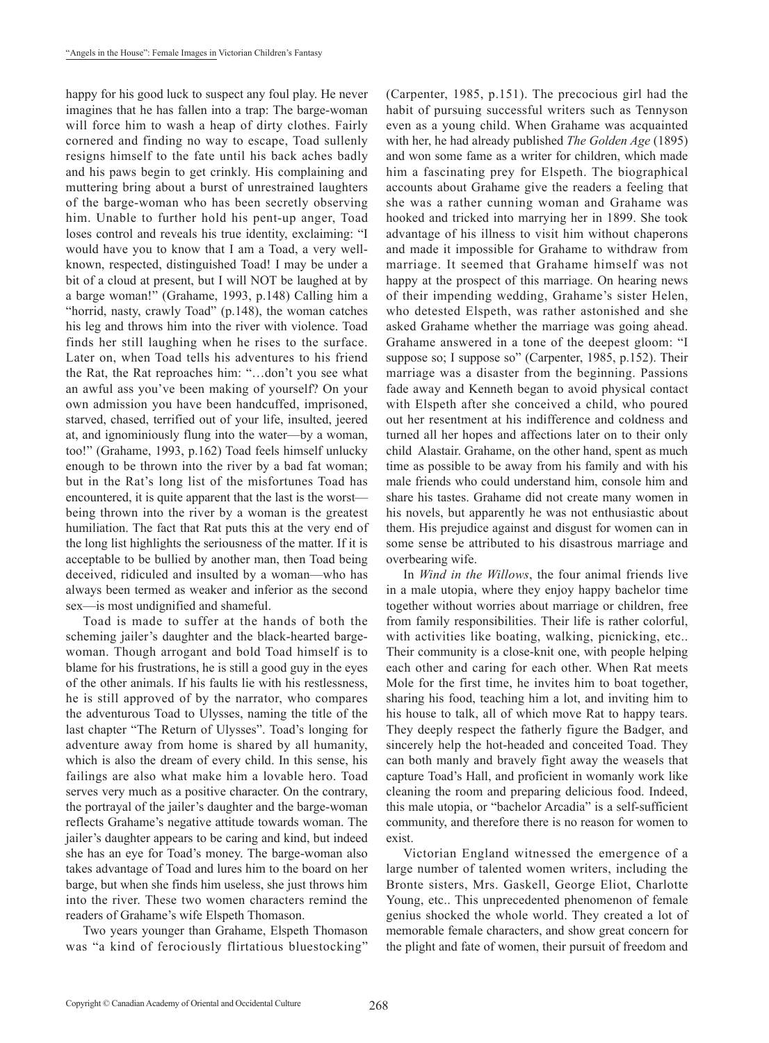happy for his good luck to suspect any foul play. He never imagines that he has fallen into a trap: The barge-woman will force him to wash a heap of dirty clothes. Fairly cornered and finding no way to escape, Toad sullenly resigns himself to the fate until his back aches badly and his paws begin to get crinkly. His complaining and muttering bring about a burst of unrestrained laughters of the barge-woman who has been secretly observing him. Unable to further hold his pent-up anger, Toad loses control and reveals his true identity, exclaiming: "I would have you to know that I am a Toad, a very wellknown, respected, distinguished Toad! I may be under a bit of a cloud at present, but I will NOT be laughed at by a barge woman!" (Grahame, 1993, p.148) Calling him a "horrid, nasty, crawly Toad" (p.148), the woman catches his leg and throws him into the river with violence. Toad finds her still laughing when he rises to the surface. Later on, when Toad tells his adventures to his friend the Rat, the Rat reproaches him: "…don't you see what an awful ass you've been making of yourself? On your own admission you have been handcuffed, imprisoned, starved, chased, terrified out of your life, insulted, jeered at, and ignominiously flung into the water—by a woman, too!" (Grahame, 1993, p.162) Toad feels himself unlucky enough to be thrown into the river by a bad fat woman; but in the Rat's long list of the misfortunes Toad has encountered, it is quite apparent that the last is the worst being thrown into the river by a woman is the greatest humiliation. The fact that Rat puts this at the very end of the long list highlights the seriousness of the matter. If it is acceptable to be bullied by another man, then Toad being deceived, ridiculed and insulted by a woman—who has always been termed as weaker and inferior as the second sex—is most undignified and shameful.

Toad is made to suffer at the hands of both the scheming jailer's daughter and the black-hearted bargewoman. Though arrogant and bold Toad himself is to blame for his frustrations, he is still a good guy in the eyes of the other animals. If his faults lie with his restlessness, he is still approved of by the narrator, who compares the adventurous Toad to Ulysses, naming the title of the last chapter "The Return of Ulysses". Toad's longing for adventure away from home is shared by all humanity, which is also the dream of every child. In this sense, his failings are also what make him a lovable hero. Toad serves very much as a positive character. On the contrary, the portrayal of the jailer's daughter and the barge-woman reflects Grahame's negative attitude towards woman. The jailer's daughter appears to be caring and kind, but indeed she has an eye for Toad's money. The barge-woman also takes advantage of Toad and lures him to the board on her barge, but when she finds him useless, she just throws him into the river. These two women characters remind the readers of Grahame's wife Elspeth Thomason.

Two years younger than Grahame, Elspeth Thomason was "a kind of ferociously flirtatious bluestocking" (Carpenter, 1985, p.151). The precocious girl had the habit of pursuing successful writers such as Tennyson even as a young child. When Grahame was acquainted with her, he had already published *The Golden Age* (1895) and won some fame as a writer for children, which made him a fascinating prey for Elspeth. The biographical accounts about Grahame give the readers a feeling that she was a rather cunning woman and Grahame was hooked and tricked into marrying her in 1899. She took advantage of his illness to visit him without chaperons and made it impossible for Grahame to withdraw from marriage. It seemed that Grahame himself was not happy at the prospect of this marriage. On hearing news of their impending wedding, Grahame's sister Helen, who detested Elspeth, was rather astonished and she asked Grahame whether the marriage was going ahead. Grahame answered in a tone of the deepest gloom: "I suppose so; I suppose so" (Carpenter, 1985, p.152). Their marriage was a disaster from the beginning. Passions fade away and Kenneth began to avoid physical contact with Elspeth after she conceived a child, who poured out her resentment at his indifference and coldness and turned all her hopes and affections later on to their only child Alastair. Grahame, on the other hand, spent as much time as possible to be away from his family and with his male friends who could understand him, console him and share his tastes. Grahame did not create many women in his novels, but apparently he was not enthusiastic about them. His prejudice against and disgust for women can in some sense be attributed to his disastrous marriage and overbearing wife.

In *Wind in the Willows*, the four animal friends live in a male utopia, where they enjoy happy bachelor time together without worries about marriage or children, free from family responsibilities. Their life is rather colorful, with activities like boating, walking, picnicking, etc.. Their community is a close-knit one, with people helping each other and caring for each other. When Rat meets Mole for the first time, he invites him to boat together, sharing his food, teaching him a lot, and inviting him to his house to talk, all of which move Rat to happy tears. They deeply respect the fatherly figure the Badger, and sincerely help the hot-headed and conceited Toad. They can both manly and bravely fight away the weasels that capture Toad's Hall, and proficient in womanly work like cleaning the room and preparing delicious food. Indeed, this male utopia, or "bachelor Arcadia" is a self-sufficient community, and therefore there is no reason for women to exist.

Victorian England witnessed the emergence of a large number of talented women writers, including the Bronte sisters, Mrs. Gaskell, George Eliot, Charlotte Young, etc.. This unprecedented phenomenon of female genius shocked the whole world. They created a lot of memorable female characters, and show great concern for the plight and fate of women, their pursuit of freedom and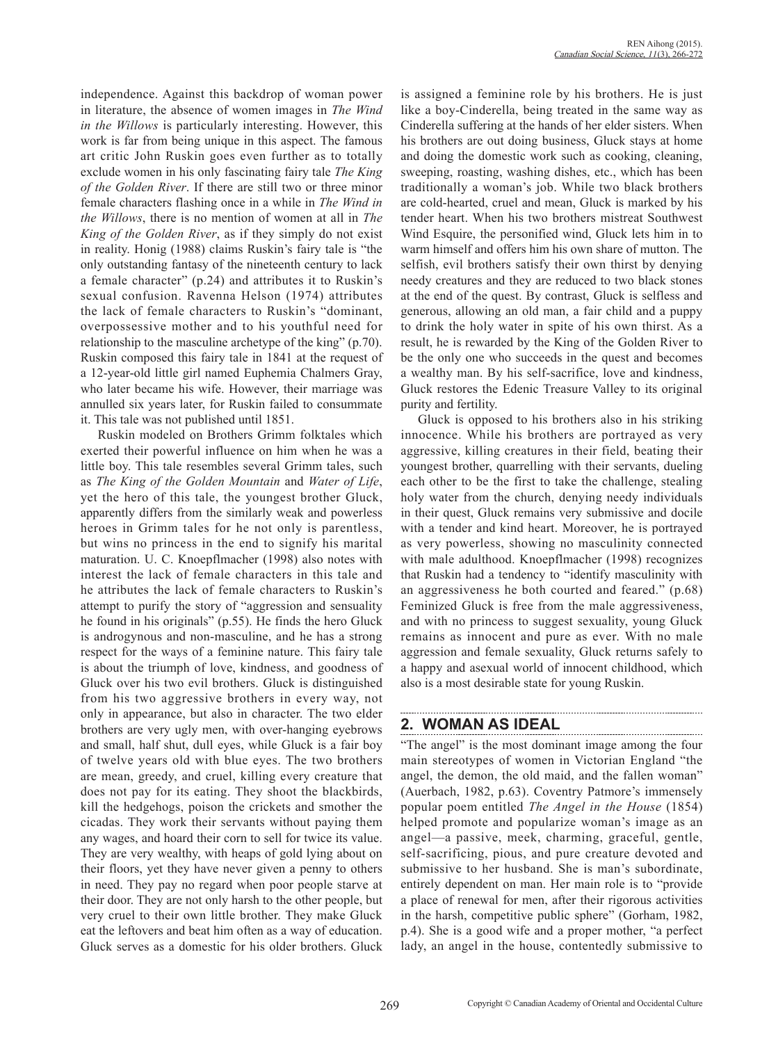independence. Against this backdrop of woman power in literature, the absence of women images in *The Wind in the Willows* is particularly interesting. However, this work is far from being unique in this aspect. The famous art critic John Ruskin goes even further as to totally exclude women in his only fascinating fairy tale *The King of the Golden River*. If there are still two or three minor female characters flashing once in a while in *The Wind in the Willows*, there is no mention of women at all in *The King of the Golden River*, as if they simply do not exist in reality. Honig (1988) claims Ruskin's fairy tale is "the only outstanding fantasy of the nineteenth century to lack a female character" (p.24) and attributes it to Ruskin's sexual confusion. Ravenna Helson (1974) attributes the lack of female characters to Ruskin's "dominant, overpossessive mother and to his youthful need for relationship to the masculine archetype of the king" (p.70). Ruskin composed this fairy tale in 1841 at the request of a 12-year-old little girl named Euphemia Chalmers Gray, who later became his wife. However, their marriage was annulled six years later, for Ruskin failed to consummate it. This tale was not published until 1851.

Ruskin modeled on Brothers Grimm folktales which exerted their powerful influence on him when he was a little boy. This tale resembles several Grimm tales, such as *The King of the Golden Mountain* and *Water of Life*, yet the hero of this tale, the youngest brother Gluck, apparently differs from the similarly weak and powerless heroes in Grimm tales for he not only is parentless, but wins no princess in the end to signify his marital maturation. U. C. Knoepflmacher (1998) also notes with interest the lack of female characters in this tale and he attributes the lack of female characters to Ruskin's attempt to purify the story of "aggression and sensuality he found in his originals" (p.55). He finds the hero Gluck is androgynous and non-masculine, and he has a strong respect for the ways of a feminine nature. This fairy tale is about the triumph of love, kindness, and goodness of Gluck over his two evil brothers. Gluck is distinguished from his two aggressive brothers in every way, not only in appearance, but also in character. The two elder brothers are very ugly men, with over-hanging eyebrows and small, half shut, dull eyes, while Gluck is a fair boy of twelve years old with blue eyes. The two brothers are mean, greedy, and cruel, killing every creature that does not pay for its eating. They shoot the blackbirds, kill the hedgehogs, poison the crickets and smother the cicadas. They work their servants without paying them any wages, and hoard their corn to sell for twice its value. They are very wealthy, with heaps of gold lying about on their floors, yet they have never given a penny to others in need. They pay no regard when poor people starve at their door. They are not only harsh to the other people, but very cruel to their own little brother. They make Gluck eat the leftovers and beat him often as a way of education. Gluck serves as a domestic for his older brothers. Gluck is assigned a feminine role by his brothers. He is just like a boy-Cinderella, being treated in the same way as Cinderella suffering at the hands of her elder sisters. When his brothers are out doing business, Gluck stays at home and doing the domestic work such as cooking, cleaning, sweeping, roasting, washing dishes, etc., which has been traditionally a woman's job. While two black brothers are cold-hearted, cruel and mean, Gluck is marked by his tender heart. When his two brothers mistreat Southwest Wind Esquire, the personified wind, Gluck lets him in to warm himself and offers him his own share of mutton. The selfish, evil brothers satisfy their own thirst by denying needy creatures and they are reduced to two black stones at the end of the quest. By contrast, Gluck is selfless and generous, allowing an old man, a fair child and a puppy to drink the holy water in spite of his own thirst. As a result, he is rewarded by the King of the Golden River to be the only one who succeeds in the quest and becomes a wealthy man. By his self-sacrifice, love and kindness, Gluck restores the Edenic Treasure Valley to its original purity and fertility.

Gluck is opposed to his brothers also in his striking innocence. While his brothers are portrayed as very aggressive, killing creatures in their field, beating their youngest brother, quarrelling with their servants, dueling each other to be the first to take the challenge, stealing holy water from the church, denying needy individuals in their quest, Gluck remains very submissive and docile with a tender and kind heart. Moreover, he is portrayed as very powerless, showing no masculinity connected with male adulthood. Knoepflmacher (1998) recognizes that Ruskin had a tendency to "identify masculinity with an aggressiveness he both courted and feared." (p.68) Feminized Gluck is free from the male aggressiveness, and with no princess to suggest sexuality, young Gluck remains as innocent and pure as ever. With no male aggression and female sexuality, Gluck returns safely to a happy and asexual world of innocent childhood, which also is a most desirable state for young Ruskin.

## **2. WOMAN AS IDEAL**

"The angel" is the most dominant image among the four main stereotypes of women in Victorian England "the angel, the demon, the old maid, and the fallen woman" (Auerbach, 1982, p.63). Coventry Patmore's immensely popular poem entitled *The Angel in the House* (1854) helped promote and popularize woman's image as an angel—a passive, meek, charming, graceful, gentle, self-sacrificing, pious, and pure creature devoted and submissive to her husband. She is man's subordinate, entirely dependent on man. Her main role is to "provide a place of renewal for men, after their rigorous activities in the harsh, competitive public sphere" (Gorham, 1982, p.4). She is a good wife and a proper mother, "a perfect lady, an angel in the house, contentedly submissive to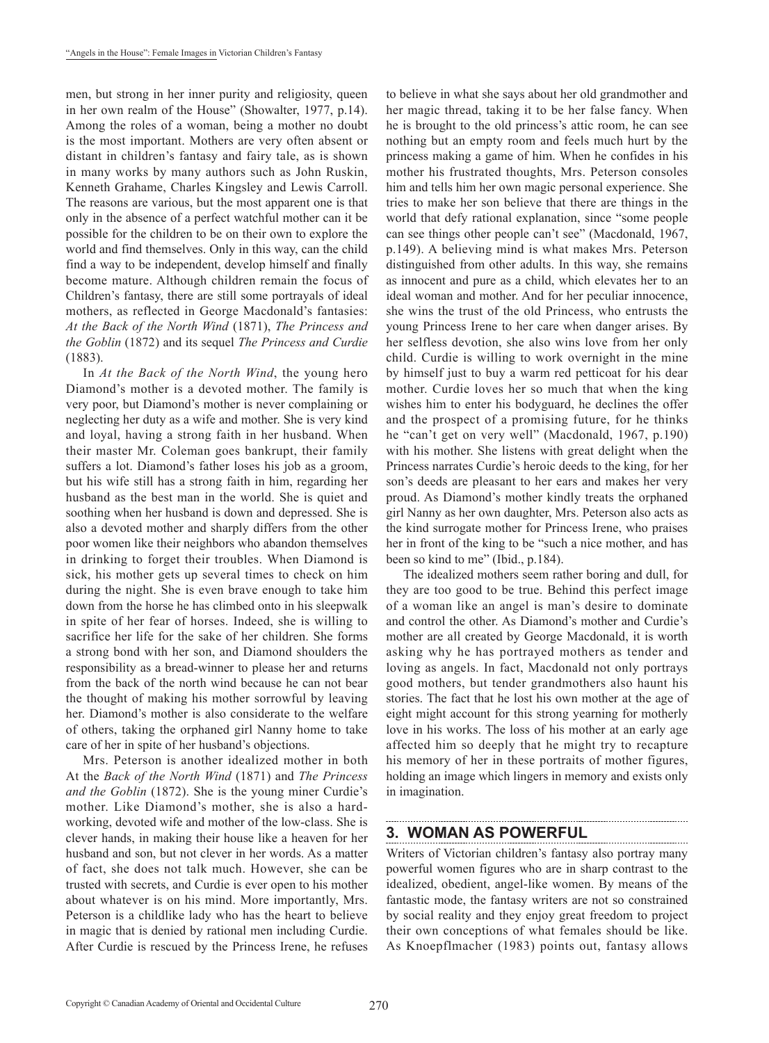men, but strong in her inner purity and religiosity, queen in her own realm of the House" (Showalter, 1977, p.14). Among the roles of a woman, being a mother no doubt is the most important. Mothers are very often absent or distant in children's fantasy and fairy tale, as is shown in many works by many authors such as John Ruskin, Kenneth Grahame, Charles Kingsley and Lewis Carroll. The reasons are various, but the most apparent one is that only in the absence of a perfect watchful mother can it be possible for the children to be on their own to explore the world and find themselves. Only in this way, can the child find a way to be independent, develop himself and finally become mature. Although children remain the focus of Children's fantasy, there are still some portrayals of ideal mothers, as reflected in George Macdonald's fantasies: *At the Back of the North Wind* (1871), *The Princess and the Goblin* (1872) and its sequel *The Princess and Curdie*  (1883).

In *At the Back of the North Wind*, the young hero Diamond's mother is a devoted mother. The family is very poor, but Diamond's mother is never complaining or neglecting her duty as a wife and mother. She is very kind and loyal, having a strong faith in her husband. When their master Mr. Coleman goes bankrupt, their family suffers a lot. Diamond's father loses his job as a groom, but his wife still has a strong faith in him, regarding her husband as the best man in the world. She is quiet and soothing when her husband is down and depressed. She is also a devoted mother and sharply differs from the other poor women like their neighbors who abandon themselves in drinking to forget their troubles. When Diamond is sick, his mother gets up several times to check on him during the night. She is even brave enough to take him down from the horse he has climbed onto in his sleepwalk in spite of her fear of horses. Indeed, she is willing to sacrifice her life for the sake of her children. She forms a strong bond with her son, and Diamond shoulders the responsibility as a bread-winner to please her and returns from the back of the north wind because he can not bear the thought of making his mother sorrowful by leaving her. Diamond's mother is also considerate to the welfare of others, taking the orphaned girl Nanny home to take care of her in spite of her husband's objections.

Mrs. Peterson is another idealized mother in both At the *Back of the North Wind* (1871) and *The Princess and the Goblin* (1872). She is the young miner Curdie's mother. Like Diamond's mother, she is also a hardworking, devoted wife and mother of the low-class. She is clever hands, in making their house like a heaven for her husband and son, but not clever in her words. As a matter of fact, she does not talk much. However, she can be trusted with secrets, and Curdie is ever open to his mother about whatever is on his mind. More importantly, Mrs. Peterson is a childlike lady who has the heart to believe in magic that is denied by rational men including Curdie. After Curdie is rescued by the Princess Irene, he refuses to believe in what she says about her old grandmother and her magic thread, taking it to be her false fancy. When he is brought to the old princess's attic room, he can see nothing but an empty room and feels much hurt by the princess making a game of him. When he confides in his mother his frustrated thoughts, Mrs. Peterson consoles him and tells him her own magic personal experience. She tries to make her son believe that there are things in the world that defy rational explanation, since "some people can see things other people can't see" (Macdonald, 1967, p.149). A believing mind is what makes Mrs. Peterson distinguished from other adults. In this way, she remains as innocent and pure as a child, which elevates her to an ideal woman and mother. And for her peculiar innocence, she wins the trust of the old Princess, who entrusts the young Princess Irene to her care when danger arises. By her selfless devotion, she also wins love from her only child. Curdie is willing to work overnight in the mine by himself just to buy a warm red petticoat for his dear mother. Curdie loves her so much that when the king wishes him to enter his bodyguard, he declines the offer and the prospect of a promising future, for he thinks he "can't get on very well" (Macdonald, 1967, p.190) with his mother. She listens with great delight when the Princess narrates Curdie's heroic deeds to the king, for her son's deeds are pleasant to her ears and makes her very proud. As Diamond's mother kindly treats the orphaned girl Nanny as her own daughter, Mrs. Peterson also acts as the kind surrogate mother for Princess Irene, who praises her in front of the king to be "such a nice mother, and has been so kind to me" (Ibid., p.184).

The idealized mothers seem rather boring and dull, for they are too good to be true. Behind this perfect image of a woman like an angel is man's desire to dominate and control the other. As Diamond's mother and Curdie's mother are all created by George Macdonald, it is worth asking why he has portrayed mothers as tender and loving as angels. In fact, Macdonald not only portrays good mothers, but tender grandmothers also haunt his stories. The fact that he lost his own mother at the age of eight might account for this strong yearning for motherly love in his works. The loss of his mother at an early age affected him so deeply that he might try to recapture his memory of her in these portraits of mother figures, holding an image which lingers in memory and exists only in imagination.

### **3. WOMAN AS POWERFUL**

Writers of Victorian children's fantasy also portray many powerful women figures who are in sharp contrast to the idealized, obedient, angel-like women. By means of the fantastic mode, the fantasy writers are not so constrained by social reality and they enjoy great freedom to project their own conceptions of what females should be like. As Knoepflmacher (1983) points out, fantasy allows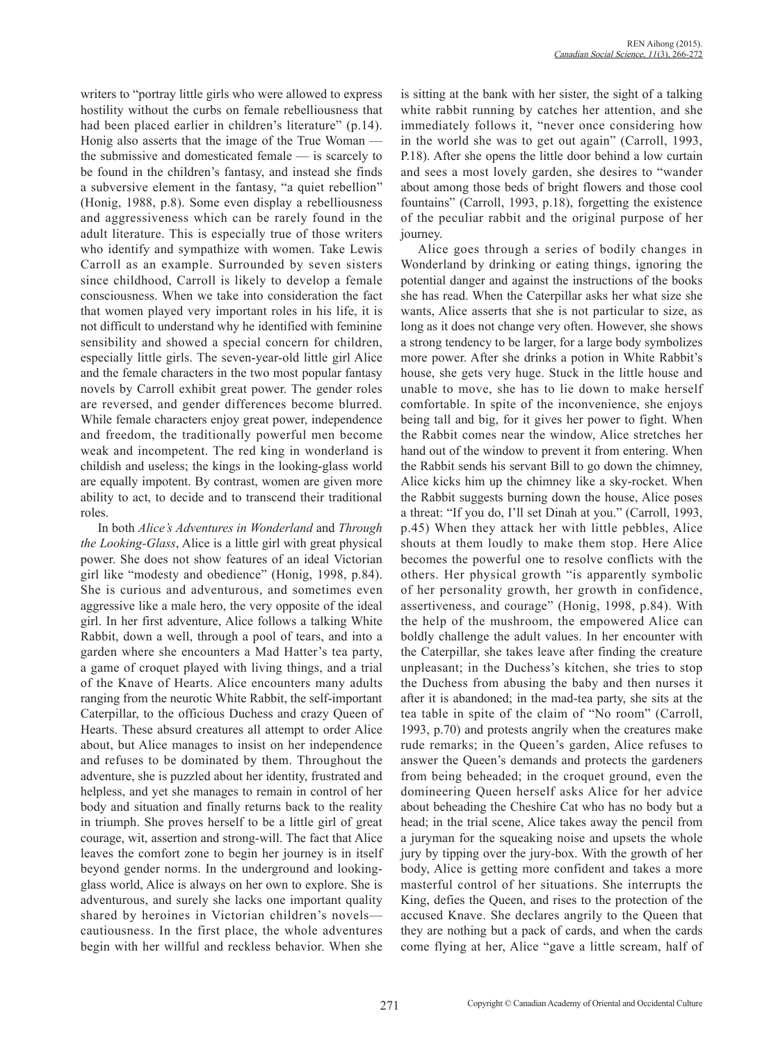writers to "portray little girls who were allowed to express hostility without the curbs on female rebelliousness that had been placed earlier in children's literature" (p.14). Honig also asserts that the image of the True Woman the submissive and domesticated female — is scarcely to be found in the children's fantasy, and instead she finds a subversive element in the fantasy, "a quiet rebellion" (Honig, 1988, p.8). Some even display a rebelliousness and aggressiveness which can be rarely found in the adult literature. This is especially true of those writers who identify and sympathize with women. Take Lewis Carroll as an example. Surrounded by seven sisters since childhood, Carroll is likely to develop a female consciousness. When we take into consideration the fact that women played very important roles in his life, it is not difficult to understand why he identified with feminine sensibility and showed a special concern for children, especially little girls. The seven-year-old little girl Alice and the female characters in the two most popular fantasy novels by Carroll exhibit great power. The gender roles are reversed, and gender differences become blurred. While female characters enjoy great power, independence and freedom, the traditionally powerful men become weak and incompetent. The red king in wonderland is childish and useless; the kings in the looking-glass world are equally impotent. By contrast, women are given more ability to act, to decide and to transcend their traditional roles.

In both *Alice's Adventures in Wonderland* and *Through the Looking-Glass*, Alice is a little girl with great physical power. She does not show features of an ideal Victorian girl like "modesty and obedience" (Honig, 1998, p.84). She is curious and adventurous, and sometimes even aggressive like a male hero, the very opposite of the ideal girl. In her first adventure, Alice follows a talking White Rabbit, down a well, through a pool of tears, and into a garden where she encounters a Mad Hatter's tea party, a game of croquet played with living things, and a trial of the Knave of Hearts. Alice encounters many adults ranging from the neurotic White Rabbit, the self-important Caterpillar, to the officious Duchess and crazy Queen of Hearts. These absurd creatures all attempt to order Alice about, but Alice manages to insist on her independence and refuses to be dominated by them. Throughout the adventure, she is puzzled about her identity, frustrated and helpless, and yet she manages to remain in control of her body and situation and finally returns back to the reality in triumph. She proves herself to be a little girl of great courage, wit, assertion and strong-will. The fact that Alice leaves the comfort zone to begin her journey is in itself beyond gender norms. In the underground and lookingglass world, Alice is always on her own to explore. She is adventurous, and surely she lacks one important quality shared by heroines in Victorian children's novels cautiousness. In the first place, the whole adventures begin with her willful and reckless behavior. When she is sitting at the bank with her sister, the sight of a talking white rabbit running by catches her attention, and she immediately follows it, "never once considering how in the world she was to get out again" (Carroll, 1993, P.18). After she opens the little door behind a low curtain and sees a most lovely garden, she desires to "wander about among those beds of bright flowers and those cool fountains" (Carroll, 1993, p.18), forgetting the existence of the peculiar rabbit and the original purpose of her journey.

Alice goes through a series of bodily changes in Wonderland by drinking or eating things, ignoring the potential danger and against the instructions of the books she has read. When the Caterpillar asks her what size she wants, Alice asserts that she is not particular to size, as long as it does not change very often. However, she shows a strong tendency to be larger, for a large body symbolizes more power. After she drinks a potion in White Rabbit's house, she gets very huge. Stuck in the little house and unable to move, she has to lie down to make herself comfortable. In spite of the inconvenience, she enjoys being tall and big, for it gives her power to fight. When the Rabbit comes near the window, Alice stretches her hand out of the window to prevent it from entering. When the Rabbit sends his servant Bill to go down the chimney, Alice kicks him up the chimney like a sky-rocket. When the Rabbit suggests burning down the house, Alice poses a threat: "If you do, I'll set Dinah at you." (Carroll, 1993, p.45) When they attack her with little pebbles, Alice shouts at them loudly to make them stop. Here Alice becomes the powerful one to resolve conflicts with the others. Her physical growth "is apparently symbolic of her personality growth, her growth in confidence, assertiveness, and courage" (Honig, 1998, p.84). With the help of the mushroom, the empowered Alice can boldly challenge the adult values. In her encounter with the Caterpillar, she takes leave after finding the creature unpleasant; in the Duchess's kitchen, she tries to stop the Duchess from abusing the baby and then nurses it after it is abandoned; in the mad-tea party, she sits at the tea table in spite of the claim of "No room" (Carroll, 1993, p.70) and protests angrily when the creatures make rude remarks; in the Queen's garden, Alice refuses to answer the Queen's demands and protects the gardeners from being beheaded; in the croquet ground, even the domineering Queen herself asks Alice for her advice about beheading the Cheshire Cat who has no body but a head; in the trial scene, Alice takes away the pencil from a juryman for the squeaking noise and upsets the whole jury by tipping over the jury-box. With the growth of her body, Alice is getting more confident and takes a more masterful control of her situations. She interrupts the King, defies the Queen, and rises to the protection of the accused Knave. She declares angrily to the Queen that they are nothing but a pack of cards, and when the cards come flying at her, Alice "gave a little scream, half of